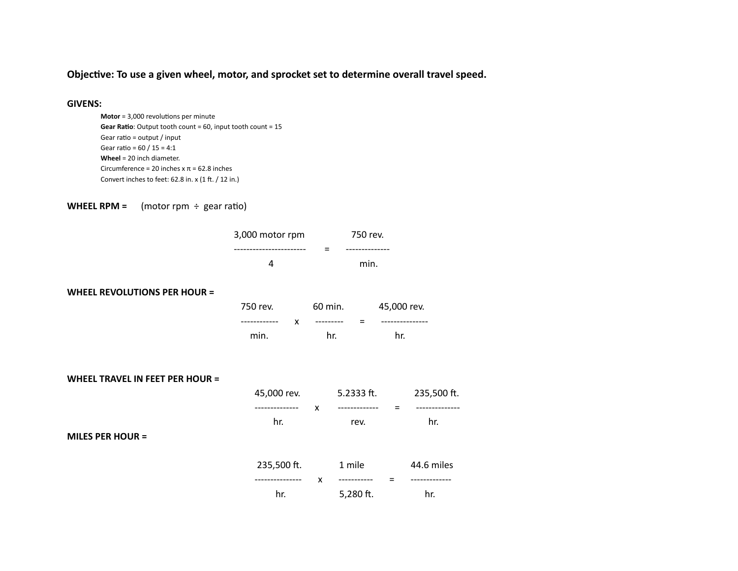Objective: To use a given wheel, motor, and sprocket set to determine overall travel speed.

### **GIVENS:**

```
Motor = 3,000 revolutions per minute
Gear Ratio: Output tooth count = 60, input tooth count = 15
Gear ratio = output / input
Gear ratio = 60 / 15 = 4:1Wheel = 20 inch diameter.
Circumference = 20 inches x \pi = 62.8 inches
Convert inches to feet: 62.8 in. x (1 ft. / 12 in.)
```
**WHEEL RPM** =  $(motor rpm \div gear ratio)$ 

| 3,000 motor rpm | 750 rev. |
|-----------------|----------|
|                 |          |
|                 | min.     |

#### **WHEEL REVOLUTIONS PER HOUR =**

| 750 rev. | 60 min. | 45,000 rev. |
|----------|---------|-------------|
|          |         |             |
| min.     | hr.     | hr.         |

|  |  | WHEEL TRAVEL IN FEET PER HOUR = |
|--|--|---------------------------------|
|--|--|---------------------------------|

| 45,000 rev. |   | 5.2333 ft. | 235,500 ft. |
|-------------|---|------------|-------------|
|             | x |            |             |
| hr.         |   | rev.       | hr.         |
|             |   |            |             |
|             |   |            |             |
| 235,500 ft. |   | 1 mile     | 44.6 miles  |
|             | x |            |             |
| hr.         |   | 5,280 ft.  | hr.         |
|             |   |            |             |

#### **MILES PER HOUR =**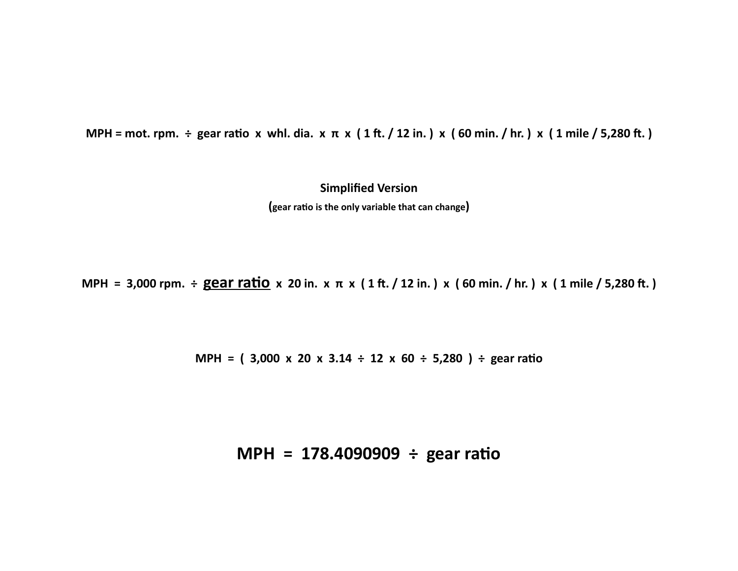MPH = mot. rpm. ÷ gear ratio x whl. dia. x  $\pi$  x (1 ft. / 12 in.) x (60 min. / hr.) x (1 mile / 5,280 ft.)

**Simplified Version (gear rao is the only variable that can change)**

MPH = 3,000 rpm.  $\div$  gear ratio x 20 in. x  $\pi$  x (1 ft. / 12 in.) x (60 min. / hr.) x (1 mile / 5,280 ft.)

**MPH = ( 3,000 x 20 x 3.14 ÷ 12 x 60 ÷ 5,280 ) ÷ gear rao**

# **MPH = 178.4090909 ÷ gear rao**